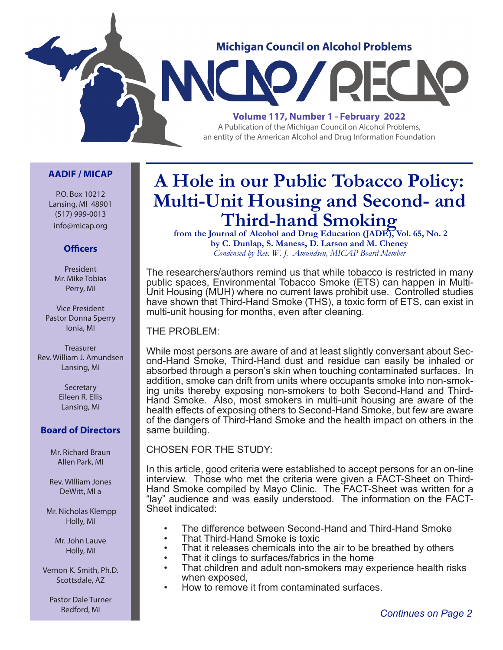

#### **AADIF / MICAP**

P.O. Box 10212 Lansing, MI 48901 (517) 999-0013 info@micap.org

#### **Officers**

President Mr. Mike Tobias Perry, MI

Vice President Pastor Donna Sperry Ionia, MI

**Treasurer** Rev. William J. Amundsen Lansing, MI

> **Secretary** Eileen R. Ellis Lansing, MI

#### **Board of Directors**

Mr. Richard Braun Allen Park, MI

Rev. WIlliam Jones DeWitt, MI a

 Mr. Nicholas Klempp Holly, MI

> Mr. John Lauve Holly, MI

Vernon K. Smith, Ph.D. Scottsdale, AZ

Pastor Dale Turner Redford, MI

## **A Hole in our Public Tobacco Policy: Multi-Unit Housing and Second- and Third-hand Smoking**<br>from the Journal of Alcohol and Drug Education (JADE), Vol. 65, No. 2

**by C. Dunlap, S. Maness, D. Larson and M. Cheney** *Condensed by Rev. W. J. Amundsen, MICAP Board Member*

The researchers/authors remind us that while tobacco is restricted in many public spaces, Environmental Tobacco Smoke (ETS) can happen in Multi-Unit Housing (MUH) where no current laws prohibit use. Controlled studies have shown that Third-Hand Smoke (THS), a toxic form of ETS, can exist in multi-unit housing for months, even after cleaning.

THE PROBLEM:

While most persons are aware of and at least slightly conversant about Second-Hand Smoke, Third-Hand dust and residue can easily be inhaled or absorbed through a person's skin when touching contaminated surfaces. In addition, smoke can drift from units where occupants smoke into non-smoking units thereby exposing non-smokers to both Second-Hand and Third-Hand Smoke. Also, most smokers in multi-unit housing are aware of the health effects of exposing others to Second-Hand Smoke, but few are aware of the dangers of Third-Hand Smoke and the health impact on others in the same building.

CHOSEN FOR THE STUDY:

In this article, good criteria were established to accept persons for an on-line interview. Those who met the criteria were given a FACT-Sheet on Third-Hand Smoke compiled by Mayo Clinic. The FACT-Sheet was written for a "lay" audience and was easily understood. The information on the FACT-Sheet indicated:

- The difference between Second-Hand and Third-Hand Smoke
- That Third-Hand Smoke is toxic
- That it releases chemicals into the air to be breathed by others
- That it clings to surfaces/fabrics in the home
- That children and adult non-smokers may experience health risks when exposed,
- How to remove it from contaminated surfaces.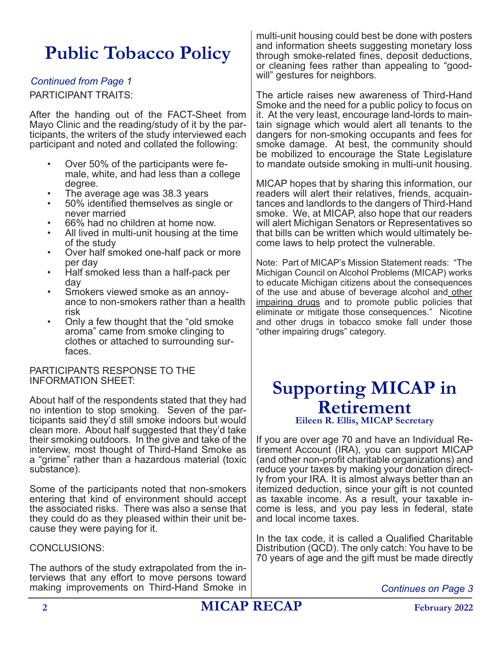# **Public Tobacco Policy**

#### *Continued from Page 1*

PARTICIPANT TRAITS:

After the handing out of the FACT-Sheet from Mayo Clinic and the reading/study of it by the participants, the writers of the study interviewed each participant and noted and collated the following:

- Over 50% of the participants were female, white, and had less than a college degree.
- The average age was 38.3 years
- 50% identified themselves as single or never married
- 66% had no children at home now.
- All lived in multi-unit housing at the time of the study
- Over half smoked one-half pack or more per day
- Half smoked less than a half-pack per day
- Smokers viewed smoke as an annoyance to non-smokers rather than a health risk
- Only a few thought that the "old smoke aroma" came from smoke clinging to clothes or attached to surrounding surfaces.

#### PARTICIPANTS RESPONSE TO THE INFORMATION SHEET:

About half of the respondents stated that they had no intention to stop smoking. Seven of the participants said they'd still smoke indoors but would clean more. About half suggested that they'd take their smoking outdoors. In the give and take of the interview, most thought of Third-Hand Smoke as a "grime" rather than a hazardous material (toxic substance).

Some of the participants noted that non-smokers entering that kind of environment should accept the associated risks. There was also a sense that they could do as they pleased within their unit because they were paying for it.

#### CONCLUSIONS:

The authors of the study extrapolated from the interviews that any effort to move persons toward making improvements on Third-Hand Smoke in multi-unit housing could best be done with posters and information sheets suggesting monetary loss through smoke-related fines, deposit deductions, or cleaning fees rather than appealing to "goodwill" gestures for neighbors.

The article raises new awareness of Third-Hand Smoke and the need for a public policy to focus on it. At the very least, encourage land-lords to maintain signage which would alert all tenants to the dangers for non-smoking occupants and fees for smoke damage. At best, the community should be mobilized to encourage the State Legislature to mandate outside smoking in multi-unit housing.

MICAP hopes that by sharing this information, our readers will alert their relatives, friends, acquaintances and landlords to the dangers of Third-Hand smoke. We, at MICAP, also hope that our readers will alert Michigan Senators or Representatives so that bills can be written which would ultimately become laws to help protect the vulnerable.

Note: Part of MICAP's Mission Statement reads: "The Michigan Council on Alcohol Problems (MICAP) works to educate Michigan citizens about the consequences of the use and abuse of beverage alcohol and other impairing drugs and to promote public policies that eliminate or mitigate those consequences." Nicotine and other drugs in tobacco smoke fall under those "other impairing drugs" category.

## **Supporting MICAP in Retirement**

**Eileen R. Ellis, MICAP Secretary**

If you are over age 70 and have an Individual Retirement Account (IRA), you can support MICAP (and other non-profit charitable organizations) and reduce your taxes by making your donation directly from your IRA. It is almost always better than an itemized deduction, since your gift is not counted as taxable income. As a result, your taxable income is less, and you pay less in federal, state and local income taxes.

In the tax code, it is called a Qualified Charitable Distribution (QCD). The only catch: You have to be 70 years of age and the gift must be made directly

*Continues on Page 3*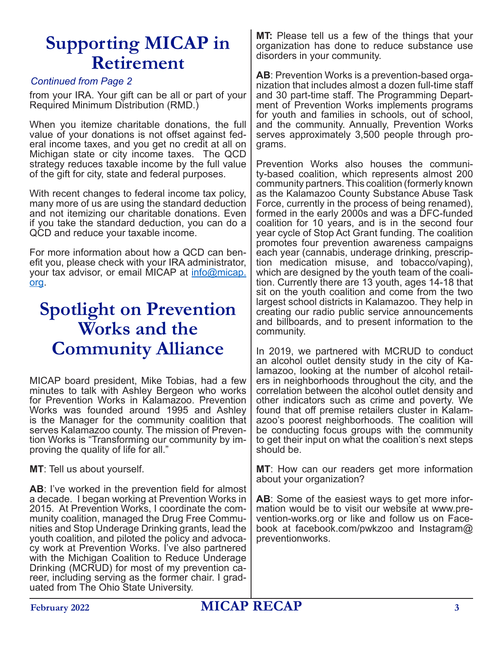## **Supporting MICAP in Retirement**

#### *Continued from Page 2*

from your IRA. Your gift can be all or part of your Required Minimum Distribution (RMD.)

When you itemize charitable donations, the full value of your donations is not offset against federal income taxes, and you get no credit at all on Michigan state or city income taxes. The QCD strategy reduces taxable income by the full value of the gift for city, state and federal purposes.

With recent changes to federal income tax policy, many more of us are using the standard deduction and not itemizing our charitable donations. Even if you take the standard deduction, you can do a QCD and reduce your taxable income.

For more information about how a QCD can benefit you, please check with your IRA administrator, your tax advisor, or email MICAP at info@micap. org.

## **Spotlight on Prevention Works and the Community Alliance**

MICAP board president, Mike Tobias, had a few minutes to talk with Ashley Bergeon who works for Prevention Works in Kalamazoo. Prevention Works was founded around 1995 and Ashley is the Manager for the community coalition that serves Kalamazoo county. The mission of Prevention Works is "Transforming our community by improving the quality of life for all."

**MT**: Tell us about yourself.

**AB**: I've worked in the prevention field for almost a decade. I began working at Prevention Works in 2015. At Prevention Works, I coordinate the community coalition, managed the Drug Free Communities and Stop Underage Drinking grants, lead the youth coalition, and piloted the policy and advocacy work at Prevention Works. I've also partnered with the Michigan Coalition to Reduce Underage Drinking (MCRUD) for most of my prevention career, including serving as the former chair. I graduated from The Ohio State University.

**MT:** Please tell us a few of the things that your organization has done to reduce substance use disorders in your community.

**AB**: Prevention Works is a prevention-based organization that includes almost a dozen full-time staff and 30 part-time staff. The Programming Department of Prevention Works implements programs for youth and families in schools, out of school, and the community. Annually, Prevention Works serves approximately 3,500 people through programs.

Prevention Works also houses the community-based coalition, which represents almost 200 community partners. This coalition (formerly known as the Kalamazoo County Substance Abuse Task Force, currently in the process of being renamed), formed in the early 2000s and was a DFC-funded coalition for 10 years, and is in the second four year cycle of Stop Act Grant funding. The coalition promotes four prevention awareness campaigns each year (cannabis, underage drinking, prescription medication misuse, and tobacco/vaping), which are designed by the youth team of the coalition. Currently there are 13 youth, ages 14-18 that sit on the youth coalition and come from the two largest school districts in Kalamazoo. They help in creating our radio public service announcements and billboards, and to present information to the community.

In 2019, we partnered with MCRUD to conduct an alcohol outlet density study in the city of Kalamazoo, looking at the number of alcohol retailers in neighborhoods throughout the city, and the correlation between the alcohol outlet density and other indicators such as crime and poverty. We found that off premise retailers cluster in Kalamazoo's poorest neighborhoods. The coalition will be conducting focus groups with the community to get their input on what the coalition's next steps should be.

**MT**: How can our readers get more information about your organization?

**AB**: Some of the easiest ways to get more information would be to visit our website at www.prevention-works.org or like and follow us on Facebook at facebook.com/pwkzoo and Instagram@ preventionworks.